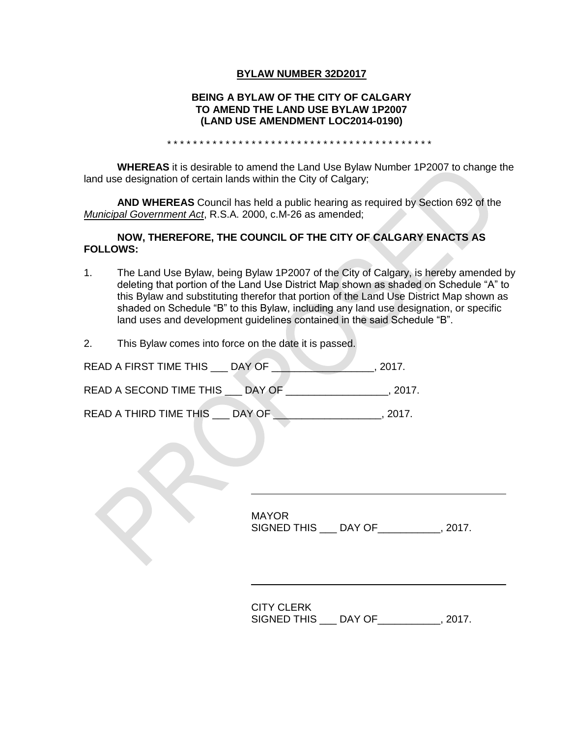## **BYLAW NUMBER 32D2017**

## **BEING A BYLAW OF THE CITY OF CALGARY TO AMEND THE LAND USE BYLAW 1P2007 (LAND USE AMENDMENT LOC2014-0190)**

\* \* \* \* \* \* \* \* \* \* \* \* \* \* \* \* \* \* \* \* \* \* \* \* \* \* \* \* \* \* \* \* \* \* \* \* \* \* \* \* \*

**WHEREAS** it is desirable to amend the Land Use Bylaw Number 1P2007 to change the land use designation of certain lands within the City of Calgary;

**AND WHEREAS** Council has held a public hearing as required by Section 692 of the *Municipal Government Act*, R.S.A. 2000, c.M-26 as amended;

### **NOW, THEREFORE, THE COUNCIL OF THE CITY OF CALGARY ENACTS AS FOLLOWS:**

- 1. The Land Use Bylaw, being Bylaw 1P2007 of the City of Calgary, is hereby amended by deleting that portion of the Land Use District Map shown as shaded on Schedule "A" to this Bylaw and substituting therefor that portion of the Land Use District Map shown as shaded on Schedule "B" to this Bylaw, including any land use designation, or specific land uses and development guidelines contained in the said Schedule "B".
- 2. This Bylaw comes into force on the date it is passed.

| READ A FIRST TIME THIS  | DAY OF | 2017.  |
|-------------------------|--------|--------|
| READ A SECOND TIME THIS | DAY OF | -2017. |
| READ A THIRD TIME THIS  | DAY OF | 2017   |

MAYOR SIGNED THIS \_\_\_ DAY OF\_\_\_\_\_\_\_\_\_\_\_, 2017.

CITY CLERK SIGNED THIS \_\_\_ DAY OF\_\_\_\_\_\_\_\_\_\_\_, 2017.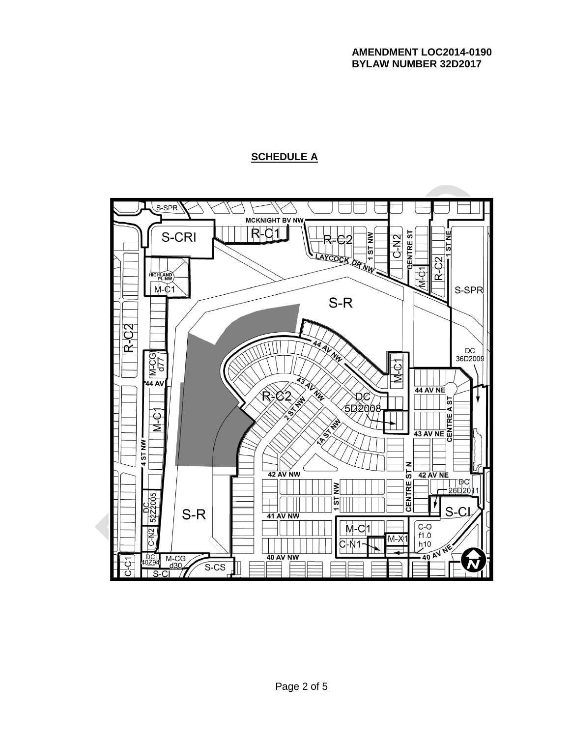# **SCHEDULE A**

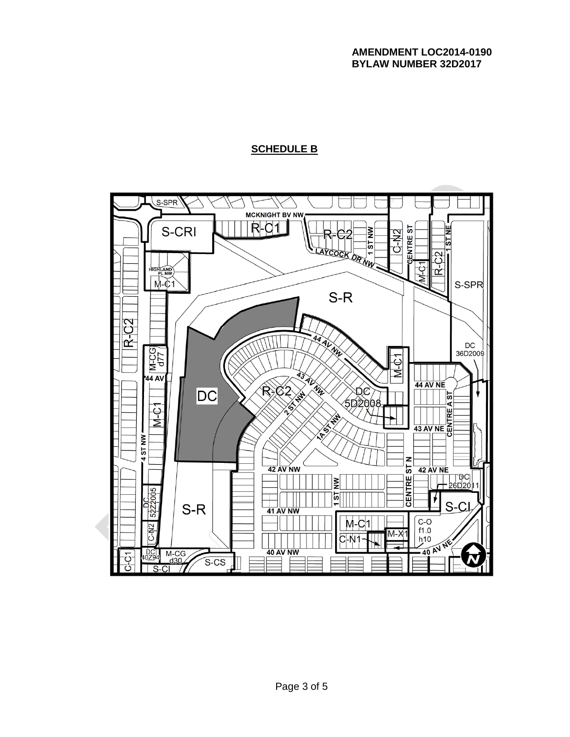## **AMENDMENT LOC2014-0190 BYLAW NUMBER 32D2017**

## **SCHEDULE B**

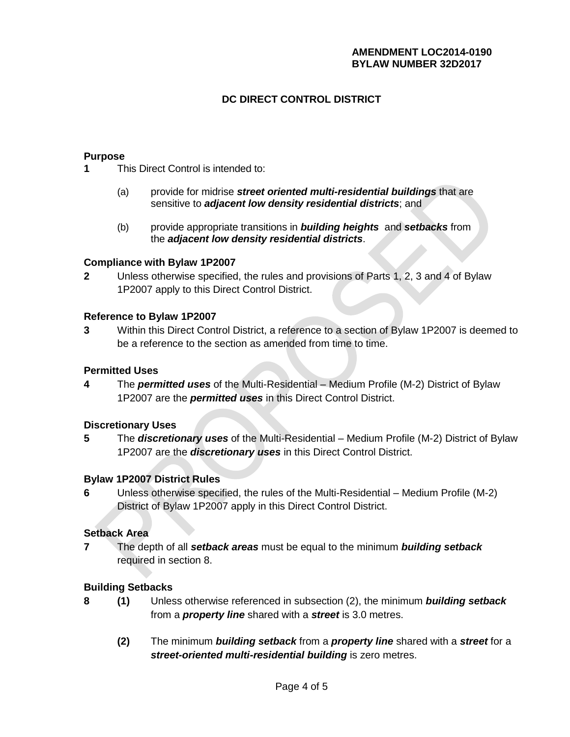## **AMENDMENT LOC2014-0190 BYLAW NUMBER 32D2017**

## **DC DIRECT CONTROL DISTRICT**

### **Purpose**

**1** This Direct Control is intended to:

- (a) provide for midrise *street oriented multi-residential buildings* that are sensitive to *adjacent low density residential districts*; and
- (b) provide appropriate transitions in *building heights* and *setbacks* from the *adjacent low density residential districts*.

#### **Compliance with Bylaw 1P2007**

**2** Unless otherwise specified, the rules and provisions of Parts 1, 2, 3 and 4 of Bylaw 1P2007 apply to this Direct Control District.

#### **Reference to Bylaw 1P2007**

**3** Within this Direct Control District, a reference to a section of Bylaw 1P2007 is deemed to be a reference to the section as amended from time to time.

#### **Permitted Uses**

**4** The *permitted uses* of the Multi-Residential – Medium Profile (M-2) District of Bylaw 1P2007 are the *permitted uses* in this Direct Control District.

#### **Discretionary Uses**

**5** The *discretionary uses* of the Multi-Residential – Medium Profile (M-2) District of Bylaw 1P2007 are the *discretionary uses* in this Direct Control District.

#### **Bylaw 1P2007 District Rules**

**6** Unless otherwise specified, the rules of the Multi-Residential – Medium Profile (M-2) District of Bylaw 1P2007 apply in this Direct Control District.

#### **Setback Area**

**7** The depth of all *setback areas* must be equal to the minimum *building setback* required in section 8.

#### **Building Setbacks**

- **8 (1)** Unless otherwise referenced in subsection (2), the minimum *building setback* from a *property line* shared with a *street* is 3.0 metres.
	- **(2)** The minimum *building setback* from a *property line* shared with a *street* for a *street-oriented multi-residential building* is zero metres.